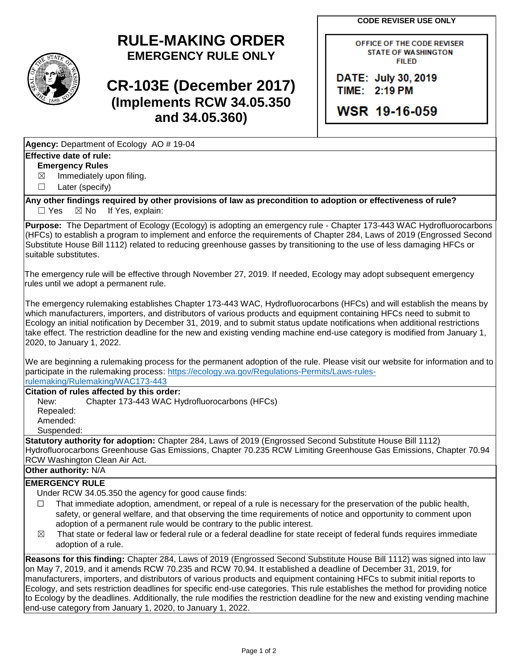**CODE REVISER USE ONLY**

## **RULE-MAKING ORDER EMERGENCY RULE ONLY**

# **CR-103E (December 2017) (Implements RCW 34.05.350 and 34.05.360)**

OFFICE OF THE CODE REVISER **STATE OF WASHINGTON FILED** 

DATE: July 30, 2019 TIME: 2:19 PM

WSR 19-16-059

**Agency:** Department of Ecology AO # 19-04

### **Effective date of rule:**

**Emergency Rules**

 $\boxtimes$  Immediately upon filing.

☐ Later (specify)

**Any other findings required by other provisions of law as precondition to adoption or effectiveness of rule?**  $\Box$  Yes  $\boxtimes$  No If Yes, explain:

**Purpose:** The Department of Ecology (Ecology) is adopting an emergency rule - Chapter 173-443 WAC Hydrofluorocarbons (HFCs) to establish a program to implement and enforce the requirements of Chapter 284, Laws of 2019 (Engrossed Second Substitute House Bill 1112) related to reducing greenhouse gasses by transitioning to the use of less damaging HFCs or suitable substitutes.

The emergency rule will be effective through November 27, 2019. If needed, Ecology may adopt subsequent emergency rules until we adopt a permanent rule.

The emergency rulemaking establishes Chapter 173-443 WAC, Hydrofluorocarbons (HFCs) and will establish the means by which manufacturers, importers, and distributors of various products and equipment containing HFCs need to submit to Ecology an initial notification by December 31, 2019, and to submit status update notifications when additional restrictions take effect. The restriction deadline for the new and existing vending machine end-use category is modified from January 1, 2020, to January 1, 2022.

We are beginning a rulemaking process for the permanent adoption of the rule. Please visit our website for information and to participate in the rulemaking process: [https://ecology.wa.gov/Regulations-Permits/Laws-rules](https://ecology.wa.gov/Regulations-Permits/Laws-rules-rulemaking/Rulemaking/WAC173-443)[rulemaking/Rulemaking/WAC173-443](https://ecology.wa.gov/Regulations-Permits/Laws-rules-rulemaking/Rulemaking/WAC173-443)

**Citation of rules affected by this order:**

New: Chapter 173-443 WAC Hydrofluorocarbons (HFCs) Repealed: Amended: Suspended:

**Statutory authority for adoption:** Chapter 284, Laws of 2019 (Engrossed Second Substitute House Bill 1112) Hydrofluorocarbons Greenhouse Gas Emissions, Chapter 70.235 RCW Limiting Greenhouse Gas Emissions, Chapter 70.94 RCW Washington Clean Air Act.

#### **Other authority:** N/A

### **EMERGENCY RULE**

Under RCW 34.05.350 the agency for good cause finds:

- $\Box$  That immediate adoption, amendment, or repeal of a rule is necessary for the preservation of the public health, safety, or general welfare, and that observing the time requirements of notice and opportunity to comment upon adoption of a permanent rule would be contrary to the public interest.
- $\boxtimes$  That state or federal law or federal rule or a federal deadline for state receipt of federal funds requires immediate adoption of a rule.

**Reasons for this finding:** Chapter 284, Laws of 2019 (Engrossed Second Substitute House Bill 1112) was signed into law on May 7, 2019, and it amends RCW 70.235 and RCW 70.94. It established a deadline of December 31, 2019, for manufacturers, importers, and distributors of various products and equipment containing HFCs to submit initial reports to Ecology, and sets restriction deadlines for specific end-use categories. This rule establishes the method for providing notice to Ecology by the deadlines. Additionally, the rule modifies the restriction deadline for the new and existing vending machine end-use category from January 1, 2020, to January 1, 2022.